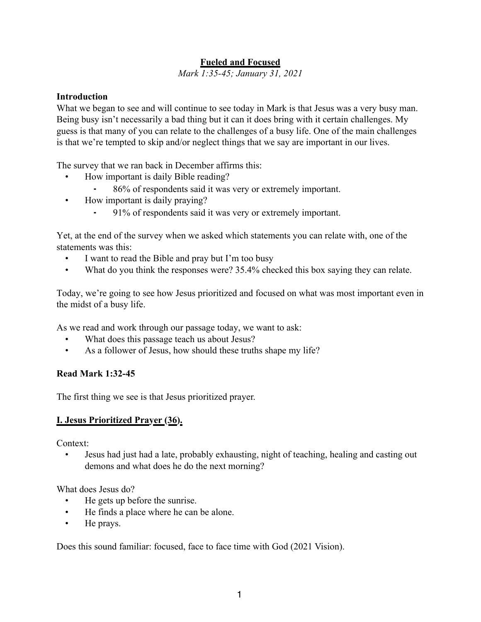### **Fueled and Focused**

*Mark 1:35-45; January 31, 2021*

#### **Introduction**

What we began to see and will continue to see today in Mark is that Jesus was a very busy man. Being busy isn't necessarily a bad thing but it can it does bring with it certain challenges. My guess is that many of you can relate to the challenges of a busy life. One of the main challenges is that we're tempted to skip and/or neglect things that we say are important in our lives.

The survey that we ran back in December affirms this:

- How important is daily Bible reading?
	- ⁃ 86% of respondents said it was very or extremely important.
- How important is daily praying?
	- ⁃ 91% of respondents said it was very or extremely important.

Yet, at the end of the survey when we asked which statements you can relate with, one of the statements was this:

- I want to read the Bible and pray but I'm too busy
- What do you think the responses were? 35.4% checked this box saying they can relate.

Today, we're going to see how Jesus prioritized and focused on what was most important even in the midst of a busy life.

As we read and work through our passage today, we want to ask:

- What does this passage teach us about Jesus?
- As a follower of Jesus, how should these truths shape my life?

#### **Read Mark 1:32-45**

The first thing we see is that Jesus prioritized prayer.

#### **I. Jesus Prioritized Prayer (36).**

Context:

• Jesus had just had a late, probably exhausting, night of teaching, healing and casting out demons and what does he do the next morning?

What does Jesus do?

- He gets up before the sunrise.
- He finds a place where he can be alone.
- He prays.

Does this sound familiar: focused, face to face time with God (2021 Vision).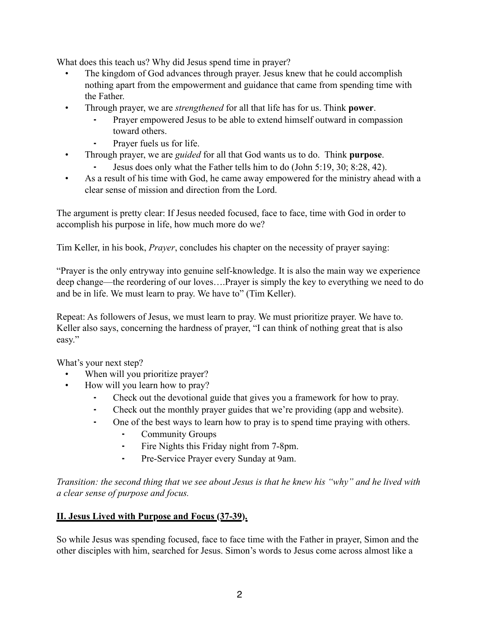What does this teach us? Why did Jesus spend time in prayer?

- The kingdom of God advances through prayer. Jesus knew that he could accomplish nothing apart from the empowerment and guidance that came from spending time with the Father.
- Through prayer, we are *strengthened* for all that life has for us. Think **power**.
	- Prayer empowered Jesus to be able to extend himself outward in compassion toward others.
	- Prayer fuels us for life.
- Through prayer, we are *guided* for all that God wants us to do. Think **purpose**.
	- Jesus does only what the Father tells him to do (John 5:19, 30; 8:28, 42).
- As a result of his time with God, he came away empowered for the ministry ahead with a clear sense of mission and direction from the Lord.

The argument is pretty clear: If Jesus needed focused, face to face, time with God in order to accomplish his purpose in life, how much more do we?

Tim Keller, in his book, *Prayer*, concludes his chapter on the necessity of prayer saying:

"Prayer is the only entryway into genuine self-knowledge. It is also the main way we experience deep change—the reordering of our loves….Prayer is simply the key to everything we need to do and be in life. We must learn to pray. We have to" (Tim Keller).

Repeat: As followers of Jesus, we must learn to pray. We must prioritize prayer. We have to. Keller also says, concerning the hardness of prayer, "I can think of nothing great that is also easy."

What's your next step?

- When will you prioritize prayer?
- How will you learn how to pray?
	- Check out the devotional guide that gives you a framework for how to pray.
	- ⁃ Check out the monthly prayer guides that we're providing (app and website).
	- One of the best ways to learn how to pray is to spend time praying with others.
		- ⁃ Community Groups
		- ⁃ Fire Nights this Friday night from 7-8pm.
		- ⁃ Pre-Service Prayer every Sunday at 9am.

*Transition: the second thing that we see about Jesus is that he knew his "why" and he lived with a clear sense of purpose and focus.*

# **II. Jesus Lived with Purpose and Focus (37-39).**

So while Jesus was spending focused, face to face time with the Father in prayer, Simon and the other disciples with him, searched for Jesus. Simon's words to Jesus come across almost like a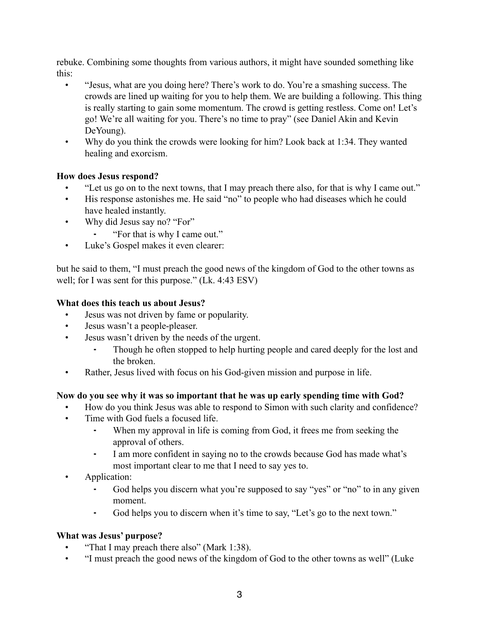rebuke. Combining some thoughts from various authors, it might have sounded something like this:

- "Jesus, what are you doing here? There's work to do. You're a smashing success. The crowds are lined up waiting for you to help them. We are building a following. This thing is really starting to gain some momentum. The crowd is getting restless. Come on! Let's go! We're all waiting for you. There's no time to pray" (see Daniel Akin and Kevin DeYoung).
- Why do you think the crowds were looking for him? Look back at 1:34. They wanted healing and exorcism.

### **How does Jesus respond?**

- "Let us go on to the next towns, that I may preach there also, for that is why I came out."
- His response astonishes me. He said "no" to people who had diseases which he could have healed instantly.
- Why did Jesus say no? "For"
	- ⁃ "For that is why I came out."
- Luke's Gospel makes it even clearer:

but he said to them, "I must preach the good news of the kingdom of God to the other towns as well; for I was sent for this purpose." (Lk. 4:43 ESV)

### **What does this teach us about Jesus?**

- Jesus was not driven by fame or popularity.
- Jesus wasn't a people-pleaser.
- Jesus wasn't driven by the needs of the urgent.
	- Though he often stopped to help hurting people and cared deeply for the lost and the broken.
- Rather, Jesus lived with focus on his God-given mission and purpose in life.

## **Now do you see why it was so important that he was up early spending time with God?**

- How do you think Jesus was able to respond to Simon with such clarity and confidence?
- Time with God fuels a focused life.
	- When my approval in life is coming from God, it frees me from seeking the approval of others.
	- ⁃ I am more confident in saying no to the crowds because God has made what's most important clear to me that I need to say yes to.
- **Application:** 
	- God helps you discern what you're supposed to say "yes" or "no" to in any given moment.
	- God helps you to discern when it's time to say, "Let's go to the next town."

## **What was Jesus' purpose?**

- "That I may preach there also" (Mark 1:38).
- "I must preach the good news of the kingdom of God to the other towns as well" (Luke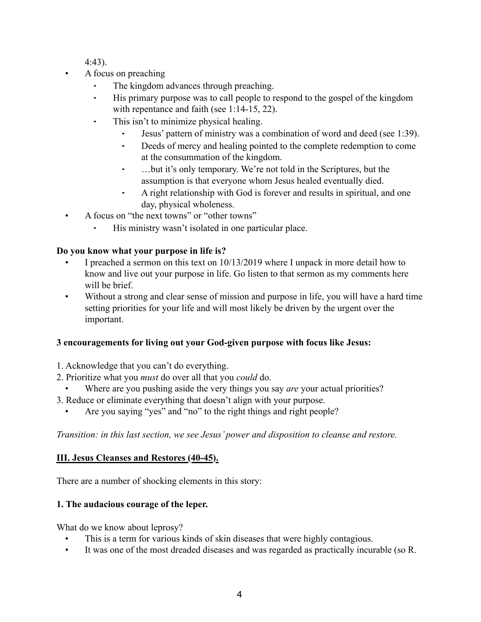4:43).

- A focus on preaching
	- ⁃ The kingdom advances through preaching.
	- ⁃ His primary purpose was to call people to respond to the gospel of the kingdom with repentance and faith (see 1:14-15, 22).
	- This isn't to minimize physical healing.
		- Jesus' pattern of ministry was a combination of word and deed (see 1:39).
		- ⁃ Deeds of mercy and healing pointed to the complete redemption to come at the consummation of the kingdom.
		- ⁃ …but it's only temporary. We're not told in the Scriptures, but the assumption is that everyone whom Jesus healed eventually died.
		- ⁃ A right relationship with God is forever and results in spiritual, and one day, physical wholeness.
- A focus on "the next towns" or "other towns"
	- His ministry wasn't isolated in one particular place.

## **Do you know what your purpose in life is?**

- I preached a sermon on this text on 10/13/2019 where I unpack in more detail how to know and live out your purpose in life. Go listen to that sermon as my comments here will be brief.
- Without a strong and clear sense of mission and purpose in life, you will have a hard time setting priorities for your life and will most likely be driven by the urgent over the important.

## **3 encouragements for living out your God-given purpose with focus like Jesus:**

- 1. Acknowledge that you can't do everything.
- 2. Prioritize what you *must* do over all that you *could* do.
- Where are you pushing aside the very things you say *are* your actual priorities?
- 3. Reduce or eliminate everything that doesn't align with your purpose.
	- Are you saying "yes" and "no" to the right things and right people?

*Transition: in this last section, we see Jesus' power and disposition to cleanse and restore.*

# **III. Jesus Cleanses and Restores (40-45).**

There are a number of shocking elements in this story:

# **1. The audacious courage of the leper.**

What do we know about leprosy?

- This is a term for various kinds of skin diseases that were highly contagious.
- It was one of the most dreaded diseases and was regarded as practically incurable (so R.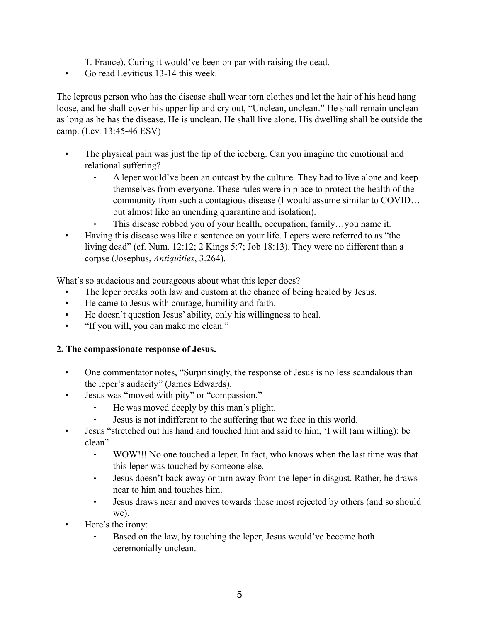- T. France). Curing it would've been on par with raising the dead.
- Go read Leviticus 13-14 this week.

The leprous person who has the disease shall wear torn clothes and let the hair of his head hang loose, and he shall cover his upper lip and cry out, "Unclean, unclean." He shall remain unclean as long as he has the disease. He is unclean. He shall live alone. His dwelling shall be outside the camp. (Lev. 13:45-46 ESV)

- The physical pain was just the tip of the iceberg. Can you imagine the emotional and relational suffering?
	- A leper would've been an outcast by the culture. They had to live alone and keep themselves from everyone. These rules were in place to protect the health of the community from such a contagious disease (I would assume similar to COVID… but almost like an unending quarantine and isolation).
	- This disease robbed you of your health, occupation, family...you name it.
- Having this disease was like a sentence on your life. Lepers were referred to as "the living dead" (cf. Num. 12:12; 2 Kings 5:7; Job 18:13). They were no different than a corpse (Josephus, *Antiquities*, 3.264).

What's so audacious and courageous about what this leper does?

- The leper breaks both law and custom at the chance of being healed by Jesus.
- He came to Jesus with courage, humility and faith.
- He doesn't question Jesus' ability, only his willingness to heal.
- "If you will, you can make me clean."

#### **2. The compassionate response of Jesus.**

- One commentator notes, "Surprisingly, the response of Jesus is no less scandalous than the leper's audacity" (James Edwards).
- Jesus was "moved with pity" or "compassion."
	- ⁃ He was moved deeply by this man's plight.
	- Jesus is not indifferent to the suffering that we face in this world.
- Jesus "stretched out his hand and touched him and said to him, 'I will (am willing); be clean"
	- ⁃ WOW!!! No one touched a leper. In fact, who knows when the last time was that this leper was touched by someone else.
	- ⁃ Jesus doesn't back away or turn away from the leper in disgust. Rather, he draws near to him and touches him.
	- ⁃ Jesus draws near and moves towards those most rejected by others (and so should we).
- Here's the irony:
	- Based on the law, by touching the leper, Jesus would've become both ceremonially unclean.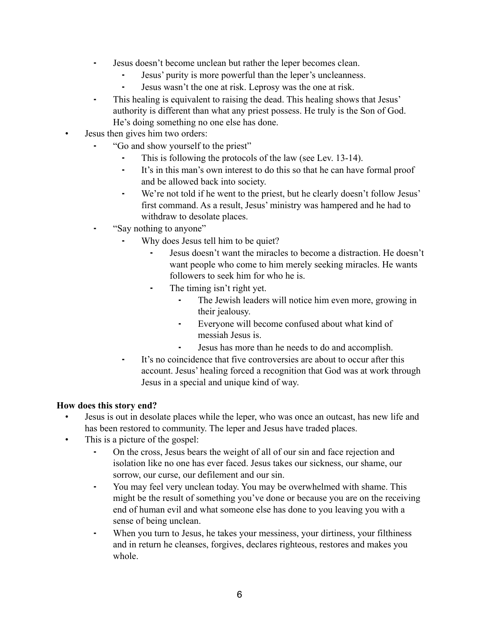- ⁃ Jesus doesn't become unclean but rather the leper becomes clean.
	- ⁃ Jesus' purity is more powerful than the leper's uncleanness.
	- Jesus wasn't the one at risk. Leprosy was the one at risk.
- This healing is equivalent to raising the dead. This healing shows that Jesus' authority is different than what any priest possess. He truly is the Son of God. He's doing something no one else has done.
- Jesus then gives him two orders:
	- ⁃ "Go and show yourself to the priest"
		- This is following the protocols of the law (see Lev. 13-14).
		- ⁃ It's in this man's own interest to do this so that he can have formal proof and be allowed back into society.
		- ⁃ We're not told if he went to the priest, but he clearly doesn't follow Jesus' first command. As a result, Jesus' ministry was hampered and he had to withdraw to desolate places.
	- ⁃ "Say nothing to anyone"
		- Why does Jesus tell him to be quiet?
			- ⁃ Jesus doesn't want the miracles to become a distraction. He doesn't want people who come to him merely seeking miracles. He wants followers to seek him for who he is.
			- ⁃ The timing isn't right yet.
				- The Jewish leaders will notice him even more, growing in their jealousy.
				- ⁃ Everyone will become confused about what kind of messiah Jesus is.
				- ⁃ Jesus has more than he needs to do and accomplish.
		- It's no coincidence that five controversies are about to occur after this account. Jesus' healing forced a recognition that God was at work through Jesus in a special and unique kind of way.

## **How does this story end?**

- Jesus is out in desolate places while the leper, who was once an outcast, has new life and has been restored to community. The leper and Jesus have traded places.
- This is a picture of the gospel:
	- ⁃ On the cross, Jesus bears the weight of all of our sin and face rejection and isolation like no one has ever faced. Jesus takes our sickness, our shame, our sorrow, our curse, our defilement and our sin.
	- ⁃ You may feel very unclean today. You may be overwhelmed with shame. This might be the result of something you've done or because you are on the receiving end of human evil and what someone else has done to you leaving you with a sense of being unclean.
	- When you turn to Jesus, he takes your messiness, your dirtiness, your filthiness and in return he cleanses, forgives, declares righteous, restores and makes you whole.